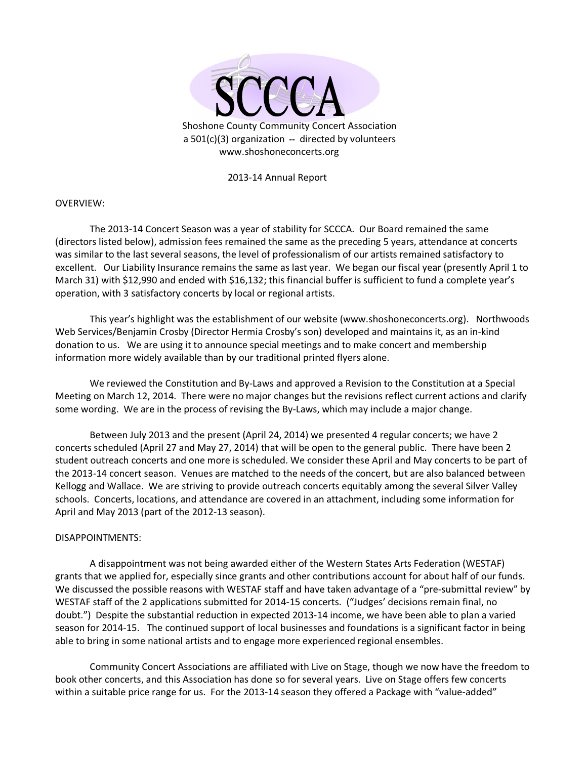

2013-14 Annual Report

## OVERVIEW:

The 2013-14 Concert Season was a year of stability for SCCCA. Our Board remained the same (directors listed below), admission fees remained the same as the preceding 5 years, attendance at concerts was similar to the last several seasons, the level of professionalism of our artists remained satisfactory to excellent. Our Liability Insurance remains the same as last year. We began our fiscal year (presently April 1 to March 31) with \$12,990 and ended with \$16,132; this financial buffer is sufficient to fund a complete year's operation, with 3 satisfactory concerts by local or regional artists.

 This year's highlight was the establishment of our website (www.shoshoneconcerts.org). Northwoods Web Services/Benjamin Crosby (Director Hermia Crosby's son) developed and maintains it, as an in-kind donation to us. We are using it to announce special meetings and to make concert and membership information more widely available than by our traditional printed flyers alone.

We reviewed the Constitution and By-Laws and approved a Revision to the Constitution at a Special Meeting on March 12, 2014. There were no major changes but the revisions reflect current actions and clarify some wording. We are in the process of revising the By-Laws, which may include a major change.

 Between July 2013 and the present (April 24, 2014) we presented 4 regular concerts; we have 2 concerts scheduled (April 27 and May 27, 2014) that will be open to the general public. There have been 2 student outreach concerts and one more is scheduled. We consider these April and May concerts to be part of the 2013-14 concert season. Venues are matched to the needs of the concert, but are also balanced between Kellogg and Wallace. We are striving to provide outreach concerts equitably among the several Silver Valley schools. Concerts, locations, and attendance are covered in an attachment, including some information for April and May 2013 (part of the 2012-13 season).

## DISAPPOINTMENTS:

 A disappointment was not being awarded either of the Western States Arts Federation (WESTAF) grants that we applied for, especially since grants and other contributions account for about half of our funds. We discussed the possible reasons with WESTAF staff and have taken advantage of a "pre-submittal review" by WESTAF staff of the 2 applications submitted for 2014-15 concerts. ("Judges' decisions remain final, no doubt.") Despite the substantial reduction in expected 2013-14 income, we have been able to plan a varied season for 2014-15. The continued support of local businesses and foundations is a significant factor in being able to bring in some national artists and to engage more experienced regional ensembles.

 Community Concert Associations are affiliated with Live on Stage, though we now have the freedom to book other concerts, and this Association has done so for several years. Live on Stage offers few concerts within a suitable price range for us. For the 2013-14 season they offered a Package with "value-added"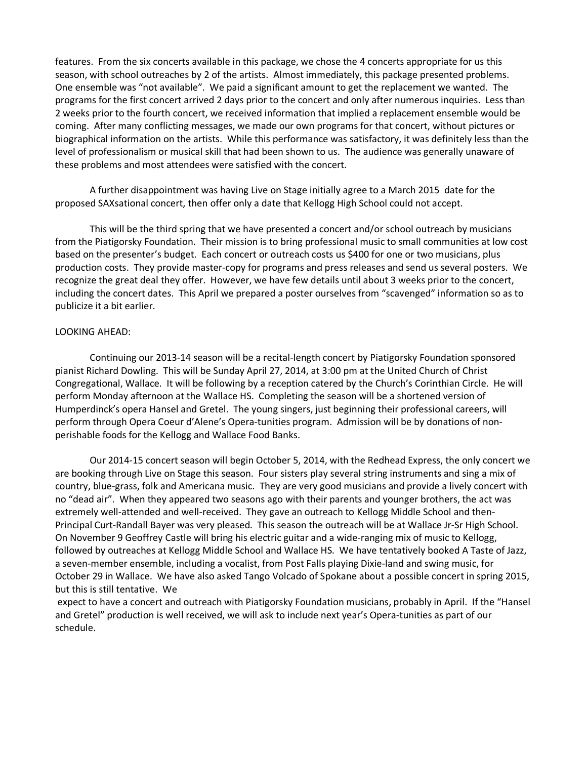features. From the six concerts available in this package, we chose the 4 concerts appropriate for us this season, with school outreaches by 2 of the artists. Almost immediately, this package presented problems. One ensemble was "not available". We paid a significant amount to get the replacement we wanted. The programs for the first concert arrived 2 days prior to the concert and only after numerous inquiries. Less than 2 weeks prior to the fourth concert, we received information that implied a replacement ensemble would be coming. After many conflicting messages, we made our own programs for that concert, without pictures or biographical information on the artists. While this performance was satisfactory, it was definitely less than the level of professionalism or musical skill that had been shown to us. The audience was generally unaware of these problems and most attendees were satisfied with the concert.

 A further disappointment was having Live on Stage initially agree to a March 2015 date for the proposed SAXsational concert, then offer only a date that Kellogg High School could not accept.

 This will be the third spring that we have presented a concert and/or school outreach by musicians from the Piatigorsky Foundation. Their mission is to bring professional music to small communities at low cost based on the presenter's budget. Each concert or outreach costs us \$400 for one or two musicians, plus production costs. They provide master-copy for programs and press releases and send us several posters. We recognize the great deal they offer. However, we have few details until about 3 weeks prior to the concert, including the concert dates. This April we prepared a poster ourselves from "scavenged" information so as to publicize it a bit earlier.

## LOOKING AHEAD:

Continuing our 2013-14 season will be a recital-length concert by Piatigorsky Foundation sponsored pianist Richard Dowling. This will be Sunday April 27, 2014, at 3:00 pm at the United Church of Christ Congregational, Wallace. It will be following by a reception catered by the Church's Corinthian Circle. He will perform Monday afternoon at the Wallace HS. Completing the season will be a shortened version of Humperdinck's opera Hansel and Gretel. The young singers, just beginning their professional careers, will perform through Opera Coeur d'Alene's Opera-tunities program. Admission will be by donations of nonperishable foods for the Kellogg and Wallace Food Banks.

Our 2014-15 concert season will begin October 5, 2014, with the Redhead Express, the only concert we are booking through Live on Stage this season. Four sisters play several string instruments and sing a mix of country, blue-grass, folk and Americana music. They are very good musicians and provide a lively concert with no "dead air". When they appeared two seasons ago with their parents and younger brothers, the act was extremely well-attended and well-received. They gave an outreach to Kellogg Middle School and then-Principal Curt-Randall Bayer was very pleased. This season the outreach will be at Wallace Jr-Sr High School. On November 9 Geoffrey Castle will bring his electric guitar and a wide-ranging mix of music to Kellogg, followed by outreaches at Kellogg Middle School and Wallace HS. We have tentatively booked A Taste of Jazz, a seven-member ensemble, including a vocalist, from Post Falls playing Dixie-land and swing music, for October 29 in Wallace. We have also asked Tango Volcado of Spokane about a possible concert in spring 2015, but this is still tentative. We

 expect to have a concert and outreach with Piatigorsky Foundation musicians, probably in April. If the "Hansel and Gretel" production is well received, we will ask to include next year's Opera-tunities as part of our schedule.